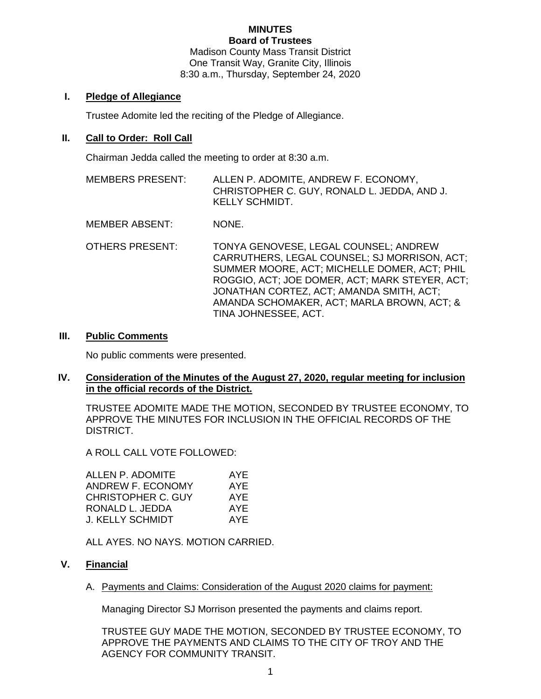#### **MINUTES Board of Trustees**

Madison County Mass Transit District One Transit Way, Granite City, Illinois 8:30 a.m., Thursday, September 24, 2020

## **I. Pledge of Allegiance**

Trustee Adomite led the reciting of the Pledge of Allegiance.

## **II. Call to Order: Roll Call**

Chairman Jedda called the meeting to order at 8:30 a.m.

- MEMBERS PRESENT: ALLEN P. ADOMITE, ANDREW F. ECONOMY, CHRISTOPHER C. GUY, RONALD L. JEDDA, AND J. KELLY SCHMIDT.
- MEMBER ABSENT: NONE.
- OTHERS PRESENT: TONYA GENOVESE, LEGAL COUNSEL; ANDREW CARRUTHERS, LEGAL COUNSEL; SJ MORRISON, ACT; SUMMER MOORE, ACT; MICHELLE DOMER, ACT; PHIL ROGGIO, ACT; JOE DOMER, ACT; MARK STEYER, ACT; JONATHAN CORTEZ, ACT; AMANDA SMITH, ACT; AMANDA SCHOMAKER, ACT; MARLA BROWN, ACT; & TINA JOHNESSEE, ACT.

## **III. Public Comments**

No public comments were presented.

## **IV. Consideration of the Minutes of the August 27, 2020, regular meeting for inclusion in the official records of the District.**

TRUSTEE ADOMITE MADE THE MOTION, SECONDED BY TRUSTEE ECONOMY, TO APPROVE THE MINUTES FOR INCLUSION IN THE OFFICIAL RECORDS OF THE DISTRICT.

A ROLL CALL VOTE FOLLOWED:

| AYE |
|-----|
| AYE |
| AYE |
| AYE |
| AYF |
|     |

ALL AYES. NO NAYS. MOTION CARRIED.

# **V. Financial**

A. Payments and Claims: Consideration of the August 2020 claims for payment:

Managing Director SJ Morrison presented the payments and claims report.

TRUSTEE GUY MADE THE MOTION, SECONDED BY TRUSTEE ECONOMY, TO APPROVE THE PAYMENTS AND CLAIMS TO THE CITY OF TROY AND THE AGENCY FOR COMMUNITY TRANSIT.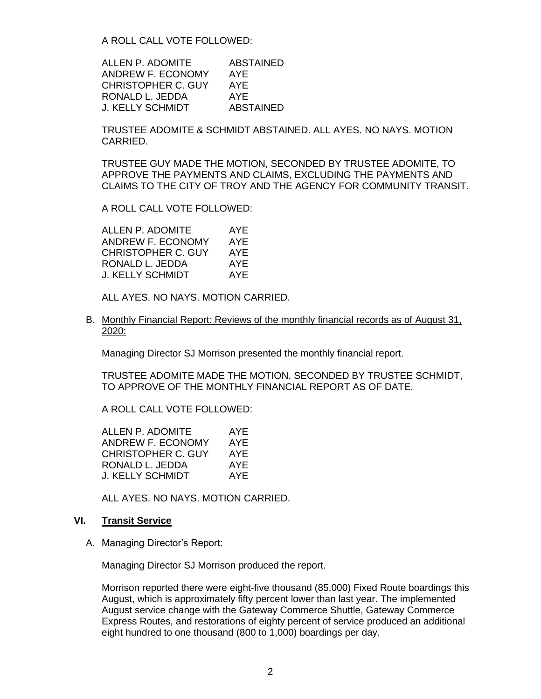A ROLL CALL VOTE FOLLOWED:

ALLEN P. ADOMITE ABSTAINED ANDREW F. ECONOMY AYE CHRISTOPHER C. GUY AYE RONALD L. JEDDA AYE J. KELLY SCHMIDT ABSTAINED

TRUSTEE ADOMITE & SCHMIDT ABSTAINED. ALL AYES. NO NAYS. MOTION CARRIED.

TRUSTEE GUY MADE THE MOTION, SECONDED BY TRUSTEE ADOMITE, TO APPROVE THE PAYMENTS AND CLAIMS, EXCLUDING THE PAYMENTS AND CLAIMS TO THE CITY OF TROY AND THE AGENCY FOR COMMUNITY TRANSIT.

A ROLL CALL VOTE FOLLOWED:

ALLEN P. ADOMITE AYE ANDREW F. ECONOMY AYE CHRISTOPHER C. GUY AYE RONALD L. JEDDA AYE J. KELLY SCHMIDT AYE

ALL AYES. NO NAYS. MOTION CARRIED.

B. Monthly Financial Report: Reviews of the monthly financial records as of August 31, 2020:

Managing Director SJ Morrison presented the monthly financial report.

TRUSTEE ADOMITE MADE THE MOTION, SECONDED BY TRUSTEE SCHMIDT, TO APPROVE OF THE MONTHLY FINANCIAL REPORT AS OF DATE.

A ROLL CALL VOTE FOLLOWED:

| ALLEN P. ADOMITE   | AYE |
|--------------------|-----|
| ANDREW F. ECONOMY  | AYE |
| CHRISTOPHER C. GUY | AYE |
| RONALD L. JEDDA    | AYE |
| J. KELLY SCHMIDT   | AYF |
|                    |     |

ALL AYES. NO NAYS. MOTION CARRIED.

## **VI. Transit Service**

A. Managing Director's Report:

Managing Director SJ Morrison produced the report.

Morrison reported there were eight-five thousand (85,000) Fixed Route boardings this August, which is approximately fifty percent lower than last year. The implemented August service change with the Gateway Commerce Shuttle, Gateway Commerce Express Routes, and restorations of eighty percent of service produced an additional eight hundred to one thousand (800 to 1,000) boardings per day.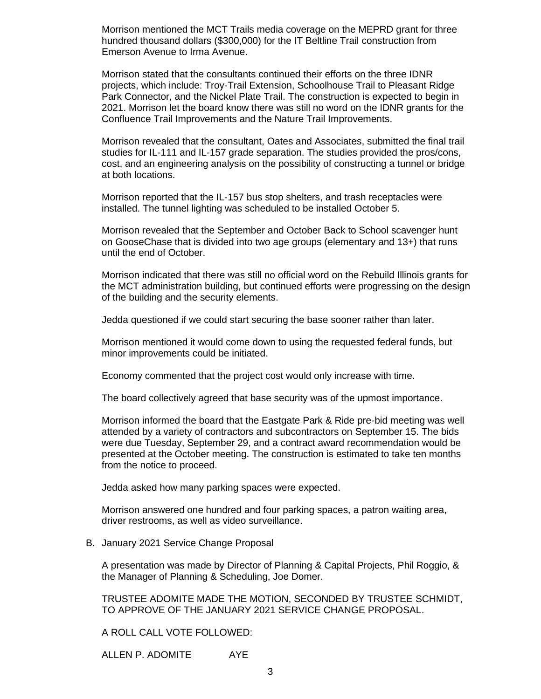Morrison mentioned the MCT Trails media coverage on the MEPRD grant for three hundred thousand dollars (\$300,000) for the IT Beltline Trail construction from Emerson Avenue to Irma Avenue.

Morrison stated that the consultants continued their efforts on the three IDNR projects, which include: Troy-Trail Extension, Schoolhouse Trail to Pleasant Ridge Park Connector, and the Nickel Plate Trail. The construction is expected to begin in 2021. Morrison let the board know there was still no word on the IDNR grants for the Confluence Trail Improvements and the Nature Trail Improvements.

Morrison revealed that the consultant, Oates and Associates, submitted the final trail studies for IL-111 and IL-157 grade separation. The studies provided the pros/cons, cost, and an engineering analysis on the possibility of constructing a tunnel or bridge at both locations.

Morrison reported that the IL-157 bus stop shelters, and trash receptacles were installed. The tunnel lighting was scheduled to be installed October 5.

Morrison revealed that the September and October Back to School scavenger hunt on GooseChase that is divided into two age groups (elementary and 13+) that runs until the end of October.

Morrison indicated that there was still no official word on the Rebuild Illinois grants for the MCT administration building, but continued efforts were progressing on the design of the building and the security elements.

Jedda questioned if we could start securing the base sooner rather than later.

Morrison mentioned it would come down to using the requested federal funds, but minor improvements could be initiated.

Economy commented that the project cost would only increase with time.

The board collectively agreed that base security was of the upmost importance.

Morrison informed the board that the Eastgate Park & Ride pre-bid meeting was well attended by a variety of contractors and subcontractors on September 15. The bids were due Tuesday, September 29, and a contract award recommendation would be presented at the October meeting. The construction is estimated to take ten months from the notice to proceed.

Jedda asked how many parking spaces were expected.

Morrison answered one hundred and four parking spaces, a patron waiting area, driver restrooms, as well as video surveillance.

B. January 2021 Service Change Proposal

A presentation was made by Director of Planning & Capital Projects, Phil Roggio, & the Manager of Planning & Scheduling, Joe Domer.

TRUSTEE ADOMITE MADE THE MOTION, SECONDED BY TRUSTEE SCHMIDT, TO APPROVE OF THE JANUARY 2021 SERVICE CHANGE PROPOSAL.

A ROLL CALL VOTE FOLLOWED:

ALLEN P. ADOMITE AYE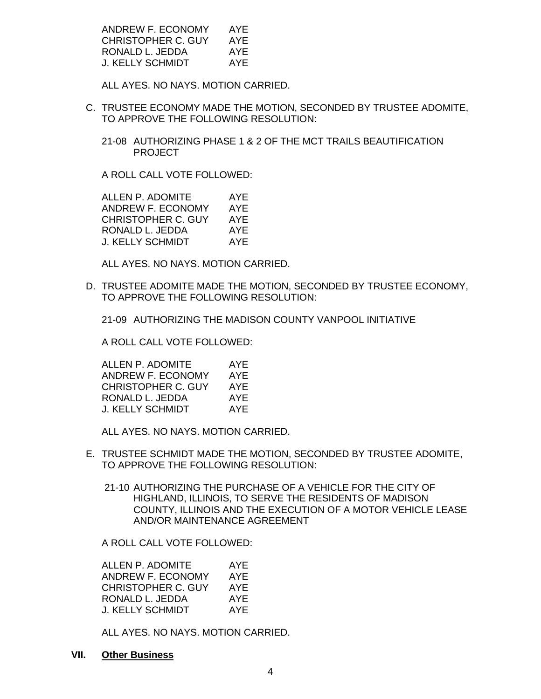| ANDREW F. ECONOMY  | AYF |
|--------------------|-----|
| CHRISTOPHER C. GUY | AYE |
| RONALD L. JEDDA    | AYF |
| J. KELLY SCHMIDT   | AYF |

ALL AYES. NO NAYS. MOTION CARRIED.

C. TRUSTEE ECONOMY MADE THE MOTION, SECONDED BY TRUSTEE ADOMITE, TO APPROVE THE FOLLOWING RESOLUTION:

21-08 AUTHORIZING PHASE 1 & 2 OF THE MCT TRAILS BEAUTIFICATION PROJECT

A ROLL CALL VOTE FOLLOWED:

ALLEN P. ADOMITE AYE ANDREW F. ECONOMY AYE CHRISTOPHER C. GUY AYE RONALD L. JEDDA AYE J. KELLY SCHMIDT AYE

ALL AYES. NO NAYS. MOTION CARRIED.

D. TRUSTEE ADOMITE MADE THE MOTION, SECONDED BY TRUSTEE ECONOMY, TO APPROVE THE FOLLOWING RESOLUTION:

21-09 AUTHORIZING THE MADISON COUNTY VANPOOL INITIATIVE

A ROLL CALL VOTE FOLLOWED:

| ALLEN P. ADOMITE   | AYE |
|--------------------|-----|
| ANDREW F. ECONOMY  | AYE |
| CHRISTOPHER C. GUY | AYF |
| RONALD L. JEDDA    | AYF |
| J. KELLY SCHMIDT   | AYF |

ALL AYES. NO NAYS. MOTION CARRIED.

- E. TRUSTEE SCHMIDT MADE THE MOTION, SECONDED BY TRUSTEE ADOMITE, TO APPROVE THE FOLLOWING RESOLUTION:
	- 21-10 AUTHORIZING THE PURCHASE OF A VEHICLE FOR THE CITY OF HIGHLAND, ILLINOIS, TO SERVE THE RESIDENTS OF MADISON COUNTY, ILLINOIS AND THE EXECUTION OF A MOTOR VEHICLE LEASE AND/OR MAINTENANCE AGREEMENT

A ROLL CALL VOTE FOLLOWED:

| ALLEN P. ADOMITE   | AYE |
|--------------------|-----|
| ANDREW F. ECONOMY  | AYE |
| CHRISTOPHER C. GUY | AYE |
| RONALD L. JEDDA    | AYE |
| J. KELLY SCHMIDT   | AYE |

ALL AYES. NO NAYS. MOTION CARRIED.

**VII. Other Business**